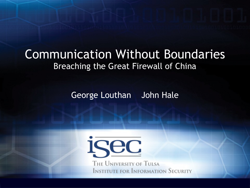#### Communication Without Boundaries Breaching the Great Firewall of China

George Louthan John Hale

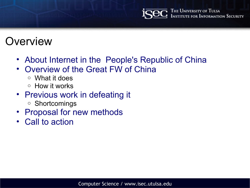## **Overview**

- About Internet in the People's Republic of China
- Overview of the Great FW of China
	- o What it does
	- o How it works
- Previous work in defeating it
	- o Shortcomings
- Proposal for new methods
- Call to action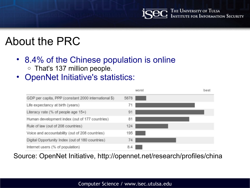The University of Tulsa<br>Institute for Information Security

## About the PRC

- 8.4% of the Chinese population is online o That's 137 million people.
- OpenNet Initiative's statistics:



Source: OpenNet Initiative, http://opennet.net/research/profiles/china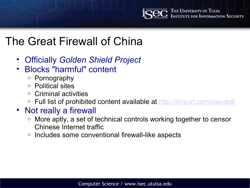The University of Tulsa<br>Institute for Information Security

#### The Great Firewall of China

- Officially *Golden Shield Project*
- Blocks "harmful" content
	- o Pornography
	- o Political sites
	- o Criminal activities
	- o Full list of prohibited content available at http://tinyurl.com/cwudp6

#### • Not really a firewall

- o More aptly, a set of technical controls working together to censor Chinese Internet traffic
- $\circ$  Includes some conventional firewall-like aspects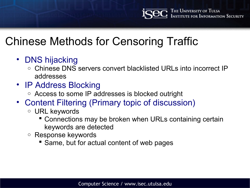# Chinese Methods for Censoring Traffic

- DNS hijacking
	- o Chinese DNS servers convert blacklisted URLs into incorrect IP addresses
- IP Address Blocking
	- o Access to some IP addresses is blocked outright
- Content Filtering (Primary topic of discussion)
	- o URL keywords
		- Connections may be broken when URLs containing certain keywords are detected
	- o Response keywords
		- **Same, but for actual content of web pages**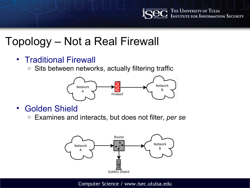

### Topology – Not a Real Firewall

- Traditional Firewall
	- $\circ$  Sits between networks, actually filtering traffic



- Golden Shield
	- o Examines and interacts, but does not filter, *per se*

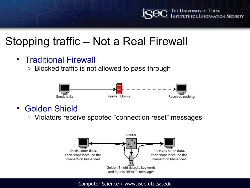# Stopping traffic – Not a Real Firewall

- Traditional Firewall
	- Blocked traffic is not allowed to pass through



- Golden Shield
	- o Violators receive spoofed "connection reset" messages

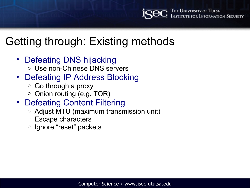# Getting through: Existing methods

- Defeating DNS hijacking
	- o Use non-Chinese DNS servers
- Defeating IP Address Blocking
	- o Go through a proxy
	- Onion routing (e.g. TOR)
- Defeating Content Filtering
	- o Adjust MTU (maximum transmission unit)
	- o Escape characters
	- o Ignore "reset" packets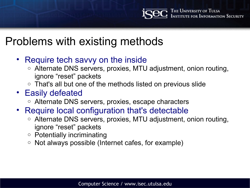## Problems with existing methods

- Require tech savvy on the inside
	- o Alternate DNS servers, proxies, MTU adjustment, onion routing, ignore "reset" packets
	- $\circ$  That's all but one of the methods listed on previous slide
- Easily defeated
	- o Alternate DNS servers, proxies, escape characters
- Require local configuration that's detectable
	- o Alternate DNS servers, proxies, MTU adjustment, onion routing, ignore "reset" packets
	- o Potentially incriminating
	- o Not always possible (Internet cafes, for example)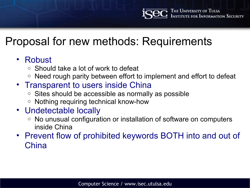## Proposal for new methods: Requirements

#### • Robust

- o Should take a lot of work to defeat
- $\circ$  Need rough parity between effort to implement and effort to defeat
- Transparent to users inside China
	- $\circ$  Sites should be accessible as normally as possible
	- o Nothing requiring technical know-how

#### • Undetectable locally

- o No unusual configuration or installation of software on computers inside China
- Prevent flow of prohibited keywords BOTH into and out of **China**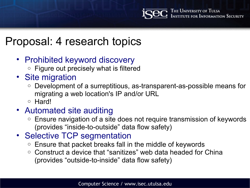### Proposal: 4 research topics

- Prohibited keyword discovery
	- $\circ$  Figure out precisely what is filtered
- Site migration
	- o Development of a surreptitious, as-transparent-as-possible means for migrating a web location's IP and/or URL
	- o Hard!
- Automated site auditing
	- $\circ$  Ensure navigation of a site does not require transmission of keywords (provides "inside-to-outside" data flow safety)
- Selective TCP segmentation
	- o Ensure that packet breaks fall in the middle of keywords
	- o Construct a device that "sanitizes" web data headed for China (provides "outside-to-inside" data flow safety)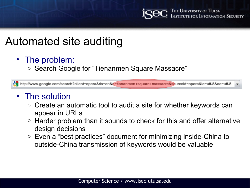

### Automated site auditing

- The problem:
	- Search Google for "Tienanmen Square Massacre"

http://www.google.com/search?client=opera&rls=en&q=tiananmen+square+massacre&sourceid=opera&ie=utf-8&oe=utf-8

#### • The solution

- $\circ$  Create an automatic tool to audit a site for whether keywords can appear in URLs
- $\circ$  Harder problem than it sounds to check for this and offer alternative design decisions
- o Even a "best practices" document for minimizing inside-China to outside-China transmission of keywords would be valuable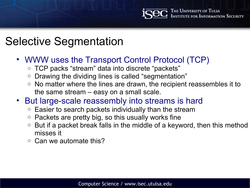## Selective Segmentation

- WWW uses the Transport Control Protocol (TCP)
	- o TCP packs "stream" data into discrete "packets"
	- Drawing the dividing lines is called "segmentation"
	- $\circ$  No matter where the lines are drawn, the recipient reassembles it to the same stream – easy on a small scale.
- But large-scale reassembly into streams is hard
	- $\circ$  Easier to search packets individually than the stream
	- $\circ$  Packets are pretty big, so this usually works fine
	- $\circ$  But if a packet break falls in the middle of a keyword, then this method misses it
	- $\circ$  Can we automate this?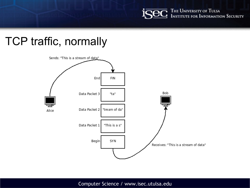The University of Tulsa<br>Institute for Information Security

## TCP traffic, normally

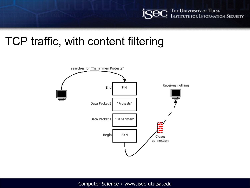

### TCP traffic, with content filtering

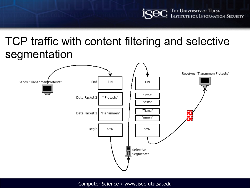### TCP traffic with content filtering and selective segmentation

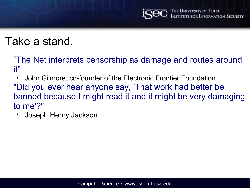# Take a stand.

"The Net interprets censorship as damage and routes around it"

• John Gilmore, co-founder of the Electronic Frontier Foundation "Did you ever hear anyone say, 'That work had better be banned because I might read it and it might be very damaging to me'?"

• Joseph Henry Jackson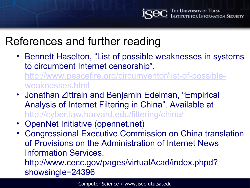## References and further reading

• Bennett Haselton, "List of possible weaknesses in systems to circumbent Internet censorship". http://www.peacefire.org/circumventor/list-of-possible-

weaknesses.html

- Jonathan Zittrain and Benjamin Edelman, "Empirical Analysis of Internet Filtering in China". Available at http://cyber.law.harvard.edu/filtering/china/
- OpenNet Initiative (opennet.net)
- Congressional Executive Commission on China translation of Provisions on the Administration of Internet News Information Services. http://www.cecc.gov/pages/virtualAcad/index.phpd? showsingle=24396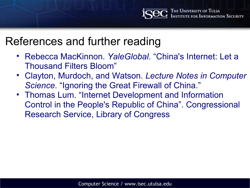### References and further reading

- Rebecca MacKinnon. *YaleGlobal*. "China's Internet: Let a Thousand Filters Bloom"
- Clayton, Murdoch, and Watson. *Lecture Notes in Computer Science*. "Ignoring the Great Firewall of China."
- Thomas Lum. "Internet Development and Information Control in the People's Republic of China". Congressional Research Service, Library of Congress